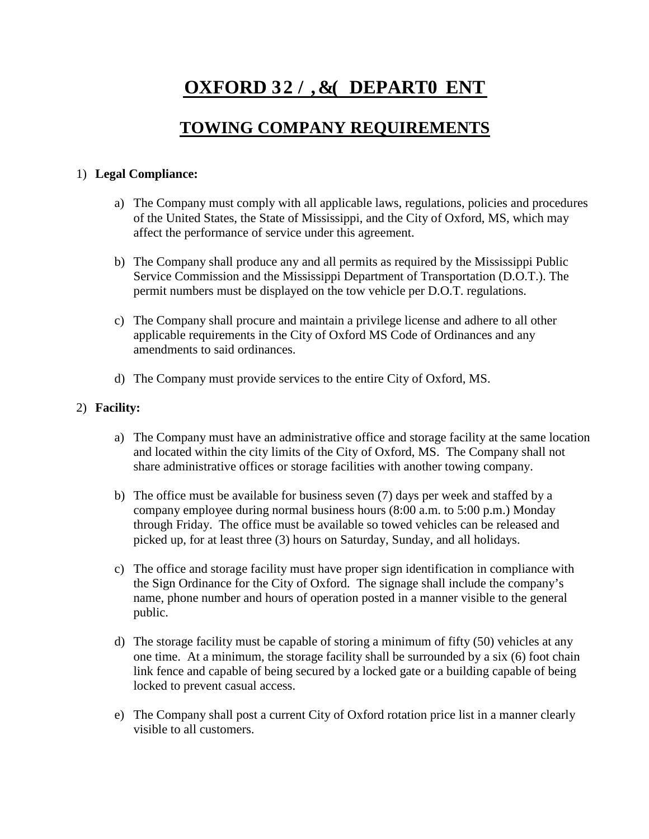# **OXFORD 32/,&( DEPART0ENT**

## **TOWING COMPANY REQUIREMENTS**

#### 1) **Legal Compliance:**

- a) The Company must comply with all applicable laws, regulations, policies and procedures of the United States, the State of Mississippi, and the City of Oxford, MS, which may affect the performance of service under this agreement.
- b) The Company shall produce any and all permits as required by the Mississippi Public Service Commission and the Mississippi Department of Transportation (D.O.T.). The permit numbers must be displayed on the tow vehicle per D.O.T. regulations.
- c) The Company shall procure and maintain a privilege license and adhere to all other applicable requirements in the City of Oxford MS Code of Ordinances and any amendments to said ordinances.
- d) The Company must provide services to the entire City of Oxford, MS.

### 2) **Facility:**

- a) The Company must have an administrative office and storage facility at the same location and located within the city limits of the City of Oxford, MS. The Company shall not share administrative offices or storage facilities with another towing company.
- b) The office must be available for business seven (7) days per week and staffed by a company employee during normal business hours (8:00 a.m. to 5:00 p.m.) Monday through Friday. The office must be available so towed vehicles can be released and picked up, for at least three (3) hours on Saturday, Sunday, and all holidays.
- c) The office and storage facility must have proper sign identification in compliance with the Sign Ordinance for the City of Oxford. The signage shall include the company's name, phone number and hours of operation posted in a manner visible to the general public.
- d) The storage facility must be capable of storing a minimum of fifty (50) vehicles at any one time. At a minimum, the storage facility shall be surrounded by a six (6) foot chain link fence and capable of being secured by a locked gate or a building capable of being locked to prevent casual access.
- e) The Company shall post a current City of Oxford rotation price list in a manner clearly visible to all customers.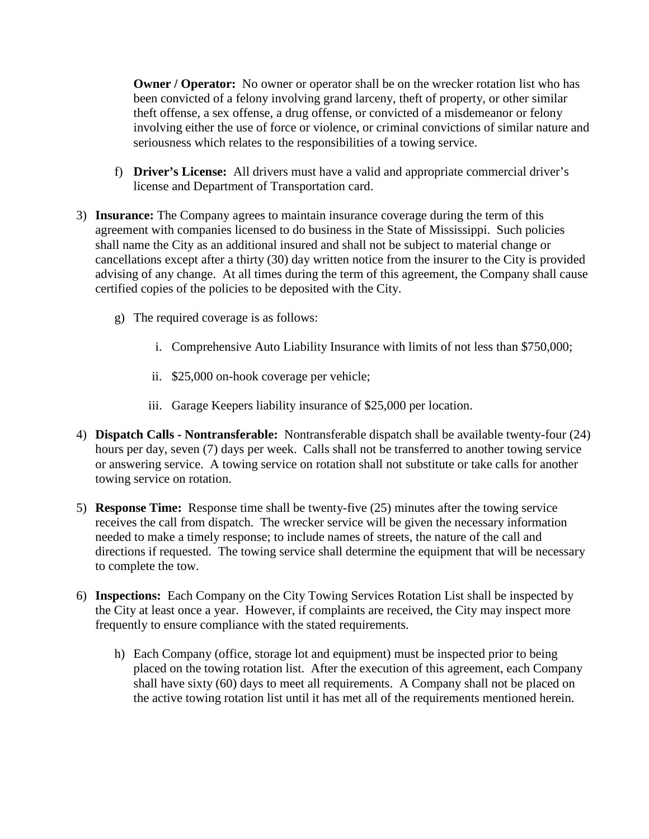**Owner / Operator:** No owner or operator shall be on the wrecker rotation list who has been convicted of a felony involving grand larceny, theft of property, or other similar theft offense, a sex offense, a drug offense, or convicted of a misdemeanor or felony involving either the use of force or violence, or criminal convictions of similar nature and seriousness which relates to the responsibilities of a towing service.

- f) **Driver's License:** All drivers must have a valid and appropriate commercial driver's license and Department of Transportation card.
- 3) **Insurance:** The Company agrees to maintain insurance coverage during the term of this agreement with companies licensed to do business in the State of Mississippi. Such policies shall name the City as an additional insured and shall not be subject to material change or cancellations except after a thirty (30) day written notice from the insurer to the City is provided advising of any change. At all times during the term of this agreement, the Company shall cause certified copies of the policies to be deposited with the City.
	- g) The required coverage is as follows:
		- i. Comprehensive Auto Liability Insurance with limits of not less than \$750,000;
		- ii. \$25,000 on-hook coverage per vehicle;
		- iii. Garage Keepers liability insurance of \$25,000 per location.
- 4) **Dispatch Calls - Nontransferable:** Nontransferable dispatch shall be available twenty-four (24) hours per day, seven (7) days per week. Calls shall not be transferred to another towing service or answering service. A towing service on rotation shall not substitute or take calls for another towing service on rotation.
- 5) **Response Time:** Response time shall be twenty-five (25) minutes after the towing service receives the call from dispatch. The wrecker service will be given the necessary information needed to make a timely response; to include names of streets, the nature of the call and directions if requested. The towing service shall determine the equipment that will be necessary to complete the tow.
- 6) **Inspections:** Each Company on the City Towing Services Rotation List shall be inspected by the City at least once a year. However, if complaints are received, the City may inspect more frequently to ensure compliance with the stated requirements.
	- h) Each Company (office, storage lot and equipment) must be inspected prior to being placed on the towing rotation list. After the execution of this agreement, each Company shall have sixty (60) days to meet all requirements. A Company shall not be placed on the active towing rotation list until it has met all of the requirements mentioned herein.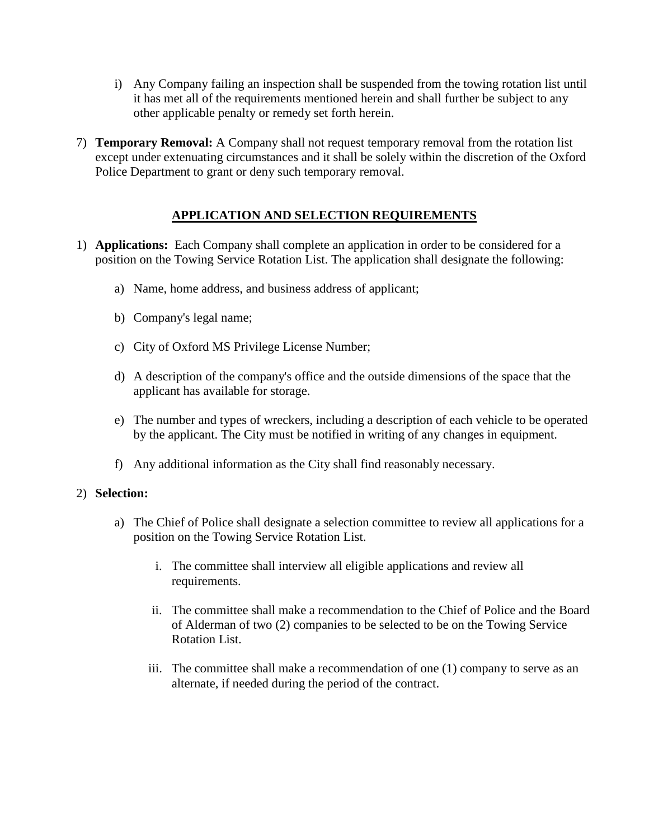- i) Any Company failing an inspection shall be suspended from the towing rotation list until it has met all of the requirements mentioned herein and shall further be subject to any other applicable penalty or remedy set forth herein.
- 7) **Temporary Removal:** A Company shall not request temporary removal from the rotation list except under extenuating circumstances and it shall be solely within the discretion of the Oxford Police Department to grant or deny such temporary removal.

### **APPLICATION AND SELECTION REQUIREMENTS**

- 1) **Applications:** Each Company shall complete an application in order to be considered for a position on the Towing Service Rotation List. The application shall designate the following:
	- a) Name, home address, and business address of applicant;
	- b) Company's legal name;
	- c) City of Oxford MS Privilege License Number;
	- d) A description of the company's office and the outside dimensions of the space that the applicant has available for storage.
	- e) The number and types of wreckers, including a description of each vehicle to be operated by the applicant. The City must be notified in writing of any changes in equipment.
	- f) Any additional information as the City shall find reasonably necessary.

#### 2) **Selection:**

- a) The Chief of Police shall designate a selection committee to review all applications for a position on the Towing Service Rotation List.
	- i. The committee shall interview all eligible applications and review all requirements.
	- ii. The committee shall make a recommendation to the Chief of Police and the Board of Alderman of two (2) companies to be selected to be on the Towing Service Rotation List.
	- iii. The committee shall make a recommendation of one (1) company to serve as an alternate, if needed during the period of the contract.